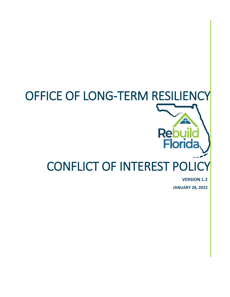

**VERSION 1.2**

**JANUARY 28, 2022**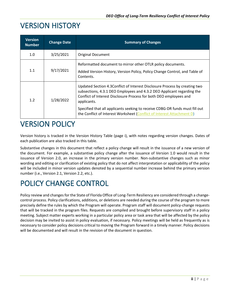# VERSION HISTORY

| <b>Version</b><br><b>Number</b> | <b>Change Date</b> | <b>Summary of Changes</b>                                                                                                                                                                                                                                                                                                                                                                            |
|---------------------------------|--------------------|------------------------------------------------------------------------------------------------------------------------------------------------------------------------------------------------------------------------------------------------------------------------------------------------------------------------------------------------------------------------------------------------------|
| 1.0                             | 3/25/2021          | Original Document                                                                                                                                                                                                                                                                                                                                                                                    |
| 1.1                             | 9/17/2021          | Reformatted document to mirror other OTLR policy documents.<br>Added Version History, Version Policy, Policy Change Control, and Table of<br>Contents.                                                                                                                                                                                                                                               |
| 1.2                             | 1/28/2022          | Updated Section 4.3 Conflict of Interest Disclosure Process by creating two<br>subsections, 4.3.1 DEO Employees and 4.3.2 DEO Applicant regarding the<br>Conflict of Interest Disclosure Process for both DEO employees and<br>applicants.<br>Specified that all applicants seeking to receive CDBG-DR funds must fill out<br>the Conflict of Interest Worksheet (Conflict of Interest Attachment D) |

# VERSION POLICY

Version history is tracked in the Version History Table (page i), with notes regarding version changes. Dates of each publication are also tracked in this table.

Substantive changes in this document that reflect a policy change will result in the issuance of a new version of the document. For example, a substantive policy change after the issuance of Version 1.0 would result in the issuance of Version 2.0, an increase in the primary version number. Non-substantive changes such as minor wording and editing or clarification of existing policy that do not affect interpretation or applicability of the policy will be included in minor version updates denoted by a sequential number increase behind the primary version number (i.e., Version 2.1, Version 2.2, etc.).

# POLICY CHANGE CONTROL

Policy review and changes for the State of Florida Office of Long-Term Resiliency are considered through a changecontrol process. Policy clarifications, additions, or deletions are needed during the course of the program to more precisely define the rules by which the Program will operate. Program staff will document policy-change requests that will be tracked in the program files. Requests are compiled and brought before supervisory staff in a policy meeting. Subject matter experts working in a particular policy area or task area that will be affected by the policy decision may be invited to assist in policy evaluation, if necessary. Policy meetings will be held as frequently as is necessary to consider policy decisions critical to moving the Program forward in a timely manner. Policy decisions will be documented and will result in the revision of the document in question.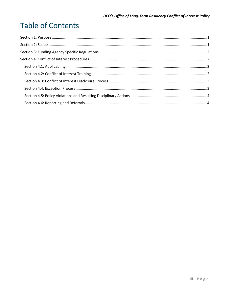# **Table of Contents**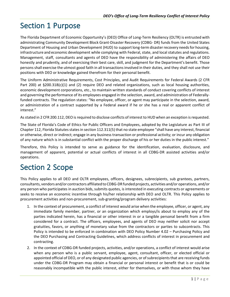# <span id="page-3-0"></span>Section 1 Purpose

The Florida Department of Economic Opportunity's (DEO) Office of Long-Term Resiliency (OLTR) is entrusted with administrating Community Development Block Grant-Disaster Recovery (CDBG- DR) funds from the United States Department of Housing and Urban Development (HUD) to supportlong-term disasterrecovery needsfor housing, infrastructure and economic development while complying with Federal, state, and local statutes and regulations. Management, staff, consultants and agents of DEO have the responsibility of administering the affairs of DEO honestly and prudently, and of exercising their best care, skill, and judgment for the Department's benefit. Those persons shall exercise the utmost good faith in all transactions involved in their duties, and they shall not use their positions with DEO or knowledge gained therefrom for their personal benefit.

The Uniform Administrative Requirements, Cost Principles, and Audit Requirements for Federal Awards (2 CFR Part 200) at §200.318(c)(1) and (2) require DEO and related organizations, such as local housing authorities, economic development corporations, etc., to maintain written standards of conduct covering conflicts of interest and governing the performance of its employees engaged in the selection, award, and administration of Federallyfunded contracts. The regulation states: "No employee, officer, or agent may participate in the selection, award, or administration of a contract supported by a Federal award if he or she has a real or apparent conflict of interest."

As stated in 2 CFR 200.112, DEO is required to disclose conflicts of interest to HUD when an exception is requested.

The State of Florida's Code of Ethics for Public Officers and Employees, adopted by the Legislature as Part III of Chapter 112, Florida Statutes states in section 112.311(5) that no state employee "shall have any interest, financial or otherwise, direct or indirect; engage in any business transaction or professional activity; or incur any obligation of any nature which is in substantial conflict with the proper discharge of his or her duties in the public interest."

Therefore, this Policy is intended to serve as guidance for the identification, evaluation, disclosure, and management of apparent, potential or actual conflicts of interest in all CDBG-DR assisted activities and/or operations.

# <span id="page-3-1"></span>Section 2 Scope

This Policy applies to all DEO and OLTR employees, officers, designees, subrecipients, sub grantees, partners, consultants, vendors and/or contractors affiliated to CDBG-DR funded projects, activities and/or operations, and/or any person who participates in auction bids, submits quotes, is interested in executing contracts or agreements or seeks to receive an economic incentive through his/her relationship with DEO and OLTR. This Policy applies to procurement activities and non-procurement, sub-granting/program delivery activities:

- 1. In the context of procurement, a conflict of interest would arise when the employee, officer, or agent, any immediate family member, partner, or an organization which employs/is about to employ any of the parties indicated herein, has a financial or other interest in or a tangible personal benefit from a firm considered for a contract. The officers, employees, and agents of DEO may neither solicit nor accept gratuities, favors, or anything of monetary value from the contractors or parties to subcontracts. This Policy is intended to be enforced in combination with DEO Policy Number 4.02 – Purchasing Policy and the DEO Purchasing and Contracting Guidelines, which address conflicts of interest in procurement and contracting.
- 2. In the context of CDBG-DR funded projects, activities, and/or operations, a conflict of interest would arise when any person who is a public servant, employee, agent, consultant, officer, or elected official or appointed official of DEO, or of any designated public agencies, or of subrecipients that are receiving funds under the CDBG-DR Program may obtain a financial or personal interest or benefit that is or could be reasonably incompatible with the public interest, either for themselves, or with those whom they have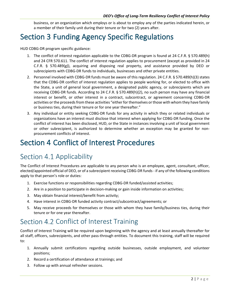business, or an organization which employs or is about to employ any of the parties indicated herein, or a member of their family unit during their tenure or for two (2) years after.

# <span id="page-4-0"></span>Section 3 Funding Agency Specific Regulations

HUD CDBG-DR program specific guidance:

- 1. The conflict of interest regulation applicable to the CDBG-DR program is found at 24 C.F.R. § 570.489(h) and 24 CFR 570.611. The conflict of interest regulation applies to procurement (except as provided in 24 C.F.R. § 570.489(g)), acquiring and disposing real property, and assistance provided by DEO or subrecipients with CDBG-DR funds to individuals, businesses and other private entities.
- 2. Personnel involved with CDBG-DR funds must be aware of this regulation. 24 C.F.R. § 570.489(h)(3) states that the CDBG-DR conflict of interest regulation applies to people working for, or elected to office with the State, a unit of general local government, a designated public agency, or subrecipients which are receiving CDBG-DR funds. According to 24 C.F.R. § 570.489(h)(2), no such person may have any financial interest or benefit, or other interest in a contract, subcontract, or agreement concerning CDBG-DR activities or the proceeds from these activities "either for themselves or those with whom they have family or business ties, during their tenure or for one year thereafter."
- 3. Any individual or entity seeking CDBG-DR funds for any activity in which they or related individuals or organizations have an interest must disclose that interest when applying for CDBG-DR funding. Once the conflict of interest has been disclosed, HUD, or the State in instances involving a unit of local government or other subrecipient, is authorized to determine whether an exception may be granted for nonprocurement conflicts of interest.

# <span id="page-4-1"></span>Section 4 Conflict of Interest Procedures

### <span id="page-4-2"></span>Section 4.1 Applicability

The Conflict of Interest Procedures are applicable to any person who is an employee, agent, consultant, officer, elected/appointed official of DEO, or of a subrecipient receiving CDBG-DR funds - if any of the following conditions apply to that person's role or duties:

- 1. Exercise functions or responsibilities regarding CDBG-DR funded/assisted activities;
- 2. Are in a position to participate in decision-making or gain inside information on activities;
- 3. May obtain financial interest/benefit from activity;
- 4. Have interest in CDBG-DR funded activity contract/subcontract/agreements; or
- 5. May receive proceeds for themselves or those with whom they have family/business ties, during their tenure or for one year thereafter.

#### <span id="page-4-3"></span>Section 4.2 Conflict of Interest Training

Conflict of Interest Training will be required upon beginning with the agency and at least annually thereafter for all staff, officers, subrecipients, and other pass-through entities. To document this training, staff will be required to:

- 1. Annually submit certifications regarding outside businesses, outside employment, and volunteer positions;
- 2. Record a certification of attendance at trainings; and
- 3. Follow up with annual refresher sessions.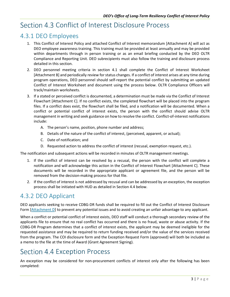### <span id="page-5-0"></span>Section 4.3 Conflict of Interest Disclosure Process

#### <span id="page-5-1"></span>4.3.1 DEO Employees

- 1. This Conflict of Interest Policy and attached Conflict of Interest memorandum [Attachment A] will act as DEO employee awareness training. This training must be provided at least annually and may be provided within departments through in person training or as an email briefing conducted by the DEO OLTR Compliance and Reporting Unit. DEO subrecipients must also follow the training and disclosure process detailed in this section.
- 2. DEO personnel meeting criteria in section 4.1 shall complete the Conflict of Interest Worksheet [Attachment B] and periodically review for status changes. If a conflict of interest arises at any time during program operations, DEO personnel should self-report the potential conflict by submitting an updated Conflict of Interest Worksheet and document using the process below. OLTR Compliance Officers will track/maintain worksheets.
- 3. If a stated or perceived conflict is documented, a determination must be made via the Conflict of Interest Flowchart [Attachment C]. If no conflict exists, the completed flowchart will be placed into the program files. If a conflict does exist, the flowchart shall be filed, and a notification will be documented. When a conflict or potential conflict of interest exists, the person with the conflict should advise OLTR management in writing and seek guidance on how to resolve the conflict. Conflict-of-interest notifications include:
	- A. The person's name, position, phone number and address;
	- B. Details of the nature of the conflict of interest, (perceived, apparent, or actual);
	- C. Date of notification; and
	- D. Requested action to address the conflict of interest (recusal, exemption request, etc.).

The notification and subsequent actions will be recorded in minutes of OLTR management meetings.

- 1. If the conflict of interest can be resolved by a recusal, the person with the conflict will complete a notification and will acknowledge this action in the Conflict of Interest Flowchart [Attachment C]. These documents will be recorded in the appropriate applicant or agreement file, and the person will be removed from the decision-making process for that file.
- 2. If the conflict of interest is not addressed by recusal and can be addressed by an exception, the exception process shall be initiated with HUD as detailed in Section 4.4 below.

#### <span id="page-5-2"></span>4.3.2 DEO Applicant

DEO applicants seeking to receive CDBG-DR funds shall be required to fill out the Conflict of Interest Disclosure Form [\[Attachment D\]](https://www.floridajobs.org/docs/default-source/office-of-disaster-recovery/v1-2-coi-disclosure-form-final-attachment-d.pdf?sfvrsn=1d9353b0_0) to prevent any potential issues and to avoid creating an unfair advantage to any applicant.

When a conflict or potential conflict of interest exists, DEO staff will conduct a thorough secondary review of the applicants file to ensure that no real conflict has occurred and there is no fraud, waste or abuse activity. If the CDBG-DR Program determines that a conflict of interest exists, the applicant may be deemed ineligible for the requested assistance and may be required to return funding received and/or the value of the services received from the program. The COI disclosure form and the Exception Request Form (approved) will both be included as a memo to the file at the time of Award (Grant Agreement Signing).

#### <span id="page-5-3"></span>Section 4.4 Exception Process

An exception may be considered for non-procurement conflicts of interest only after the following has been completed: